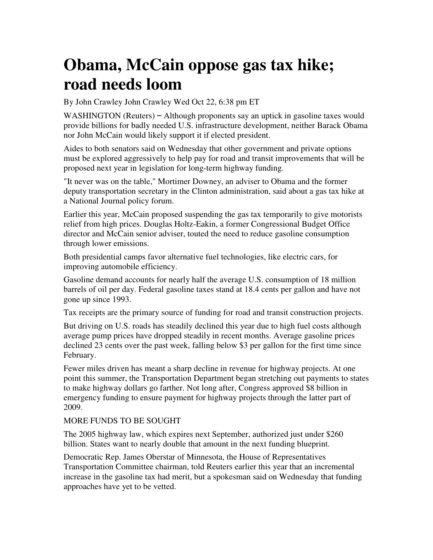## **Obama, McCain oppose gas tax hike; road needs loom**

By John Crawley John Crawley Wed Oct 22, 6:38 pm ET

WASHINGTON (Reuters) – Although proponents say an uptick in gasoline taxes would provide billions for badly needed U.S. infrastructure development, neither Barack Obama nor John McCain would likely support it if elected president.

Aides to both senators said on Wednesday that other government and private options must be explored aggressively to help pay for road and transit improvements that will be proposed next year in legislation for long-term highway funding.

"It never was on the table," Mortimer Downey, an adviser to Obama and the former deputy transportation secretary in the Clinton administration, said about a gas tax hike at a National Journal policy forum.

Earlier this year, McCain proposed suspending the gas tax temporarily to give motorists relief from high prices. Douglas Holtz-Eakin, a former Congressional Budget Office director and McCain senior adviser, touted the need to reduce gasoline consumption through lower emissions.

Both presidential camps favor alternative fuel technologies, like electric cars, for improving automobile efficiency.

Gasoline demand accounts for nearly half the average U.S. consumption of 18 million barrels of oil per day. Federal gasoline taxes stand at 18.4 cents per gallon and have not gone up since 1993.

Tax receipts are the primary source of funding for road and transit construction projects.

But driving on U.S. roads has steadily declined this year due to high fuel costs although average pump prices have dropped steadily in recent months. Average gasoline prices declined 23 cents over the past week, falling below \$3 per gallon for the first time since February.

Fewer miles driven has meant a sharp decline in revenue for highway projects. At one point this summer, the Transportation Department began stretching out payments to states to make highway dollars go farther. Not long after, Congress approved \$8 billion in emergency funding to ensure payment for highway projects through the latter part of 2009.

## MORE FUNDS TO BE SOUGHT

The 2005 highway law, which expires next September, authorized just under \$260 billion. States want to nearly double that amount in the next funding blueprint.

Democratic Rep. James Oberstar of Minnesota, the House of Representatives Transportation Committee chairman, told Reuters earlier this year that an incremental increase in the gasoline tax had merit, but a spokesman said on Wednesday that funding approaches have yet to be vetted.